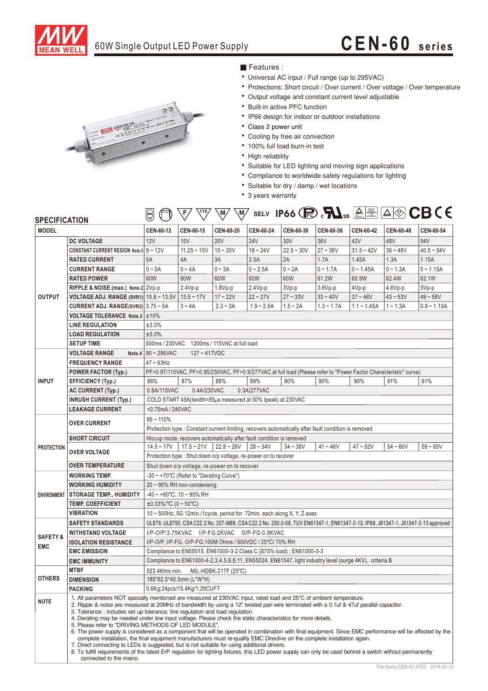

# 60W Single Output LED Power Supply **CEN-60 series**



### ■ Features :

- ‧Universal AC input / Full range (up to 295VAC)
- Protections: Short circuit / Over current / Over voltage / Over temperature
- ‧Output voltage and constant current level adjustable
- Built-in active PFC function
- ‧IP66 design for indoor or outdoor installations
- ‧ Class 2 power unit
- ‧Cooling by free air convection
- ‧100% full load burn-in test
- High reliability
- ‧Suitable for LED lighting and moving sign applications
- ‧Compliance to worldwide safety regulations for lighting
- ‧Suitable for dry / damp / wet locations
- ‧3 years warranty

| SPECIFICATION                    |                                                                                                                                                                                                                                                                                                                                                                                                                                                                                                                                                                                                                                                                                                                                                                                                                    |                                                                                                                                 | F                                                                                                                | $\setminus M$<br>M |              |              |              |                  |            | SELV IP66 $\bigcirc$ $\mathbb{R}$ $\mathbb{M}_{us}$ $\bigcirc$ $\bigcirc$ $\bigcirc$ $\bigcirc$ $\mathbb{C}$ $\mathbb{C}$ $\mathbb{C}$ $\mathbb{C}$ $\mathbb{C}$ $\mathbb{C}$ $\mathbb{C}$ |  |
|----------------------------------|--------------------------------------------------------------------------------------------------------------------------------------------------------------------------------------------------------------------------------------------------------------------------------------------------------------------------------------------------------------------------------------------------------------------------------------------------------------------------------------------------------------------------------------------------------------------------------------------------------------------------------------------------------------------------------------------------------------------------------------------------------------------------------------------------------------------|---------------------------------------------------------------------------------------------------------------------------------|------------------------------------------------------------------------------------------------------------------|--------------------|--------------|--------------|--------------|------------------|------------|--------------------------------------------------------------------------------------------------------------------------------------------------------------------------------------------|--|
| <b>MODEL</b>                     |                                                                                                                                                                                                                                                                                                                                                                                                                                                                                                                                                                                                                                                                                                                                                                                                                    | <b>CEN-60-12</b>                                                                                                                | CEN-60-15                                                                                                        | CEN-60-20          | CEN-60-24    | CEN-60-30    | CEN-60-36    | <b>CEN-60-42</b> | CEN-60-48  | CEN-60-54                                                                                                                                                                                  |  |
| <b>OUTPUT</b>                    | <b>DC VOLTAGE</b>                                                                                                                                                                                                                                                                                                                                                                                                                                                                                                                                                                                                                                                                                                                                                                                                  | 12V                                                                                                                             | 15V                                                                                                              | <b>20V</b>         | <b>24V</b>   | 30V          | 36V          | 42V              | 48V        | 54V                                                                                                                                                                                        |  |
|                                  | <b>CONSTANT CURRENT REGION Note.5 9 ~ 12V</b>                                                                                                                                                                                                                                                                                                                                                                                                                                                                                                                                                                                                                                                                                                                                                                      |                                                                                                                                 | $11.25 - 15V$                                                                                                    | $15 - 20V$         | $18 - 24V$   | $22.5 - 30V$ | $27 - 36V$   | $31.5 - 42V$     | $36 - 48V$ | $40.5 - 54V$                                                                                                                                                                               |  |
|                                  | <b>RATED CURRENT</b>                                                                                                                                                                                                                                                                                                                                                                                                                                                                                                                                                                                                                                                                                                                                                                                               | 5A                                                                                                                              | 4A                                                                                                               | 3A                 | 2.5A         | 2A           | 1.7A         | 1.45A            | 1.3A       | 1.15A                                                                                                                                                                                      |  |
|                                  | <b>CURRENT RANGE</b>                                                                                                                                                                                                                                                                                                                                                                                                                                                                                                                                                                                                                                                                                                                                                                                               | $0 - 5A$                                                                                                                        | $0 - 4A$                                                                                                         | $0 - 3A$           | $0 - 2.5A$   | $0 - 2A$     | $0 - 1.7A$   | $0 - 1.45A$      | $0 - 1.3A$ | $0 - 1.15A$                                                                                                                                                                                |  |
|                                  | <b>RATED POWER</b>                                                                                                                                                                                                                                                                                                                                                                                                                                                                                                                                                                                                                                                                                                                                                                                                 | 60W                                                                                                                             | 60W                                                                                                              | 60W                | 60W          | 60W          | 61.2W        | 60.9W            | 62.4W      | 62.1W                                                                                                                                                                                      |  |
|                                  | RIPPLE & NOISE (max.) Note.2 2Vp-p                                                                                                                                                                                                                                                                                                                                                                                                                                                                                                                                                                                                                                                                                                                                                                                 |                                                                                                                                 | $2.4Vp-p$                                                                                                        | $1.8Vp-p$          | $2.4Vp-p$    | 3Vp-p        | $3.6Vp-p$    | $4Vp-p$          | $4.6Vp-p$  | $5Vp-p$                                                                                                                                                                                    |  |
|                                  | VOLTAGE ADJ. RANGE (SVR1) 10.8 ~ 13.5 V 13.5 ~ 17 V                                                                                                                                                                                                                                                                                                                                                                                                                                                                                                                                                                                                                                                                                                                                                                |                                                                                                                                 |                                                                                                                  | $17 - 22V$         | $22 - 27V$   | $27 - 33V$   | $33 - 40V$   | $37 - 46V$       | $43 - 53V$ | $49 - 58V$                                                                                                                                                                                 |  |
|                                  | CURRENT ADJ. RANGE(SVR2) 3.75 ~ 5A                                                                                                                                                                                                                                                                                                                                                                                                                                                                                                                                                                                                                                                                                                                                                                                 |                                                                                                                                 | $3 - 4A$                                                                                                         | $2.3 - 3A$         | $1.9 - 2.5A$ | $1.5 - 2A$   | $1.3 - 1.7A$ | $1.1 - 1.45A$    | $1 - 1.3A$ | $0.9 - 1.15A$                                                                                                                                                                              |  |
|                                  | VOLTAGE TOLERANCE Note.3 ±10%                                                                                                                                                                                                                                                                                                                                                                                                                                                                                                                                                                                                                                                                                                                                                                                      |                                                                                                                                 |                                                                                                                  |                    |              |              |              |                  |            |                                                                                                                                                                                            |  |
|                                  | <b>LINE REGULATION</b>                                                                                                                                                                                                                                                                                                                                                                                                                                                                                                                                                                                                                                                                                                                                                                                             | ±3.0%                                                                                                                           |                                                                                                                  |                    |              |              |              |                  |            |                                                                                                                                                                                            |  |
|                                  | <b>LOAD REGULATION</b>                                                                                                                                                                                                                                                                                                                                                                                                                                                                                                                                                                                                                                                                                                                                                                                             | ±5.0%                                                                                                                           |                                                                                                                  |                    |              |              |              |                  |            |                                                                                                                                                                                            |  |
|                                  | <b>SETUP TIME</b>                                                                                                                                                                                                                                                                                                                                                                                                                                                                                                                                                                                                                                                                                                                                                                                                  |                                                                                                                                 | 500ms / 230VAC 1200ms / 115VAC at full load                                                                      |                    |              |              |              |                  |            |                                                                                                                                                                                            |  |
| <b>INPUT</b>                     | <b>VOLTAGE RANGE</b>                                                                                                                                                                                                                                                                                                                                                                                                                                                                                                                                                                                                                                                                                                                                                                                               | Note.4 $\vert$ 90 ~ 295VAC<br>$127 - 417$ VDC                                                                                   |                                                                                                                  |                    |              |              |              |                  |            |                                                                                                                                                                                            |  |
|                                  | <b>FREQUENCY RANGE</b>                                                                                                                                                                                                                                                                                                                                                                                                                                                                                                                                                                                                                                                                                                                                                                                             | $47 \sim 63$ Hz                                                                                                                 |                                                                                                                  |                    |              |              |              |                  |            |                                                                                                                                                                                            |  |
|                                  | <b>POWER FACTOR (Typ.)</b>                                                                                                                                                                                                                                                                                                                                                                                                                                                                                                                                                                                                                                                                                                                                                                                         |                                                                                                                                 | PF>0.97/115VAC, PF>0.95/230VAC, PF>0.9/277VAC at full load (Please refer to "Power Factor Characteristic" curve) |                    |              |              |              |                  |            |                                                                                                                                                                                            |  |
|                                  | <b>EFFICIENCY (Typ.)</b>                                                                                                                                                                                                                                                                                                                                                                                                                                                                                                                                                                                                                                                                                                                                                                                           | 86%                                                                                                                             | 87%                                                                                                              | 88%                | 89%          | 90%          | 90%          | 90%              | 91%        | 91%                                                                                                                                                                                        |  |
|                                  | <b>AC CURRENT (Typ.)</b>                                                                                                                                                                                                                                                                                                                                                                                                                                                                                                                                                                                                                                                                                                                                                                                           | 0.8A/115VAC<br>0.4A/230VAC<br>0.3A/277VAC                                                                                       |                                                                                                                  |                    |              |              |              |                  |            |                                                                                                                                                                                            |  |
|                                  | <b>INRUSH CURRENT (Typ.)</b>                                                                                                                                                                                                                                                                                                                                                                                                                                                                                                                                                                                                                                                                                                                                                                                       | COLD START 45A(twidth=85µs measured at 50% Ipeak) at 230VAC                                                                     |                                                                                                                  |                    |              |              |              |                  |            |                                                                                                                                                                                            |  |
|                                  | <b>LEAKAGE CURRENT</b>                                                                                                                                                                                                                                                                                                                                                                                                                                                                                                                                                                                                                                                                                                                                                                                             | <0.75mA/240VAC                                                                                                                  |                                                                                                                  |                    |              |              |              |                  |            |                                                                                                                                                                                            |  |
| <b>PROTECTION</b>                | <b>OVER CURRENT</b>                                                                                                                                                                                                                                                                                                                                                                                                                                                                                                                                                                                                                                                                                                                                                                                                | $95 - 110%$                                                                                                                     |                                                                                                                  |                    |              |              |              |                  |            |                                                                                                                                                                                            |  |
|                                  |                                                                                                                                                                                                                                                                                                                                                                                                                                                                                                                                                                                                                                                                                                                                                                                                                    | Protection type : Constant current limiting, recovers automatically after fault condition is removed                            |                                                                                                                  |                    |              |              |              |                  |            |                                                                                                                                                                                            |  |
|                                  | <b>SHORT CIRCUIT</b>                                                                                                                                                                                                                                                                                                                                                                                                                                                                                                                                                                                                                                                                                                                                                                                               | Hiccup mode, recovers automatically after fault condition is removed                                                            |                                                                                                                  |                    |              |              |              |                  |            |                                                                                                                                                                                            |  |
|                                  | <b>OVER VOLTAGE</b>                                                                                                                                                                                                                                                                                                                                                                                                                                                                                                                                                                                                                                                                                                                                                                                                | $14.5 - 17V$                                                                                                                    | $17.5 - 21V$                                                                                                     | $22.8 - 26V$       | $28 - 34V$   | $34 - 38V$   | $41 - 46V$   | $47 - 52V$       | $54 - 60V$ | $59 - 65V$                                                                                                                                                                                 |  |
|                                  |                                                                                                                                                                                                                                                                                                                                                                                                                                                                                                                                                                                                                                                                                                                                                                                                                    | Protection type : Shut down o/p voltage, re-power on to recover                                                                 |                                                                                                                  |                    |              |              |              |                  |            |                                                                                                                                                                                            |  |
|                                  | <b>OVER TEMPERATURE</b>                                                                                                                                                                                                                                                                                                                                                                                                                                                                                                                                                                                                                                                                                                                                                                                            | Shut down o/p voltage, re-power on to recover                                                                                   |                                                                                                                  |                    |              |              |              |                  |            |                                                                                                                                                                                            |  |
| <b>ENVIRONMENT</b>               | <b>WORKING TEMP.</b>                                                                                                                                                                                                                                                                                                                                                                                                                                                                                                                                                                                                                                                                                                                                                                                               | $-30 \sim +70^{\circ}$ C (Refer to "Derating Curve")                                                                            |                                                                                                                  |                    |              |              |              |                  |            |                                                                                                                                                                                            |  |
|                                  | <b>WORKING HUMIDITY</b>                                                                                                                                                                                                                                                                                                                                                                                                                                                                                                                                                                                                                                                                                                                                                                                            | $20 \sim 95\%$ RH non-condensing                                                                                                |                                                                                                                  |                    |              |              |              |                  |            |                                                                                                                                                                                            |  |
|                                  | <b>STORAGE TEMP., HUMIDITY</b>                                                                                                                                                                                                                                                                                                                                                                                                                                                                                                                                                                                                                                                                                                                                                                                     | $-40 \sim +80^{\circ}$ C, 10 ~ 95% RH                                                                                           |                                                                                                                  |                    |              |              |              |                  |            |                                                                                                                                                                                            |  |
|                                  | <b>TEMP. COEFFICIENT</b>                                                                                                                                                                                                                                                                                                                                                                                                                                                                                                                                                                                                                                                                                                                                                                                           | $\pm 0.03\%$ /°C (0 ~ 50°C)                                                                                                     |                                                                                                                  |                    |              |              |              |                  |            |                                                                                                                                                                                            |  |
|                                  | <b>VIBRATION</b>                                                                                                                                                                                                                                                                                                                                                                                                                                                                                                                                                                                                                                                                                                                                                                                                   | $10 \sim 500$ Hz, 5G 12min./1 cycle, period for 72min. each along X, Y, Z axes                                                  |                                                                                                                  |                    |              |              |              |                  |            |                                                                                                                                                                                            |  |
| <b>SAFETY&amp;</b><br><b>EMC</b> | <b>SAFETY STANDARDS</b>                                                                                                                                                                                                                                                                                                                                                                                                                                                                                                                                                                                                                                                                                                                                                                                            | UL879, UL8750, CSA C22.2 No. 207-M89, CSA C22.2 No. 250.0-08, TUV EN61347-1, EN61347-2-13, IP66, J61347-1, J61347-2-13 approved |                                                                                                                  |                    |              |              |              |                  |            |                                                                                                                                                                                            |  |
|                                  | <b>WITHSTAND VOLTAGE</b>                                                                                                                                                                                                                                                                                                                                                                                                                                                                                                                                                                                                                                                                                                                                                                                           | I/P-O/P:3.75KVAC I/P-FG:2KVAC O/P-FG:0.5KVAC                                                                                    |                                                                                                                  |                    |              |              |              |                  |            |                                                                                                                                                                                            |  |
|                                  | <b>ISOLATION RESISTANCE</b>                                                                                                                                                                                                                                                                                                                                                                                                                                                                                                                                                                                                                                                                                                                                                                                        | I/P-O/P, I/P-FG, O/P-FG:100M Ohms / 500VDC / 25°C/ 70% RH                                                                       |                                                                                                                  |                    |              |              |              |                  |            |                                                                                                                                                                                            |  |
|                                  | <b>EMC EMISSION</b>                                                                                                                                                                                                                                                                                                                                                                                                                                                                                                                                                                                                                                                                                                                                                                                                | Compliance to EN55015, EN61000-3-2 Class C (≧75% load) ; EN61000-3-3                                                            |                                                                                                                  |                    |              |              |              |                  |            |                                                                                                                                                                                            |  |
|                                  | <b>EMC IMMUNITY</b>                                                                                                                                                                                                                                                                                                                                                                                                                                                                                                                                                                                                                                                                                                                                                                                                | Compliance to EN61000-4-2,3,4,5,6,8,11, EN55024, EN61547, light industry level (surge 4KV), criteria B                          |                                                                                                                  |                    |              |              |              |                  |            |                                                                                                                                                                                            |  |
| <b>OTHERS</b>                    | MTBF                                                                                                                                                                                                                                                                                                                                                                                                                                                                                                                                                                                                                                                                                                                                                                                                               | 523.4Khrs min.<br>MIL-HDBK-217F (25°C)                                                                                          |                                                                                                                  |                    |              |              |              |                  |            |                                                                                                                                                                                            |  |
|                                  | <b>DIMENSION</b>                                                                                                                                                                                                                                                                                                                                                                                                                                                                                                                                                                                                                                                                                                                                                                                                   | 185*62.5*40.5mm (L*W*H)                                                                                                         |                                                                                                                  |                    |              |              |              |                  |            |                                                                                                                                                                                            |  |
|                                  | <b>PACKING</b>                                                                                                                                                                                                                                                                                                                                                                                                                                                                                                                                                                                                                                                                                                                                                                                                     | 0.6Kg;24pcs/15.4Kg/1.29CUFT                                                                                                     |                                                                                                                  |                    |              |              |              |                  |            |                                                                                                                                                                                            |  |
| <b>NOTE</b>                      | 1. All parameters NOT specially mentioned are measured at 230VAC input, rated load and 25°C of ambient temperature.<br>2. Ripple & noise are measured at 20MHz of bandwidth by using a 12" twisted pair-wire terminated with a 0.1uf & 47uf parallel capacitor.<br>3. Tolerance: includes set up tolerance, line regulation and load regulation.<br>4. Derating may be needed under low input voltage. Please check the static characteristics for more details.<br>5. Please refer to "DRIVING METHODS OF LED MODULE".<br>6. The power supply is considered as a component that will be operated in combination with final equipment. Since EMC performance will be affected by the<br>complete installation, the final equipment manufacturers must re-qualify EMC Directive on the complete installation again. |                                                                                                                                 |                                                                                                                  |                    |              |              |              |                  |            |                                                                                                                                                                                            |  |

8. To fulfill requirements of the latest ErP regulation for lighting fixtures, this LED power supply can only be used behind a switch without permanently

7. Direct connecting to LEDs is suggested, but is not suitable for using additional drivers.

connected to the mains.

*File Name:CEN-60-SPEC 2014-03-13*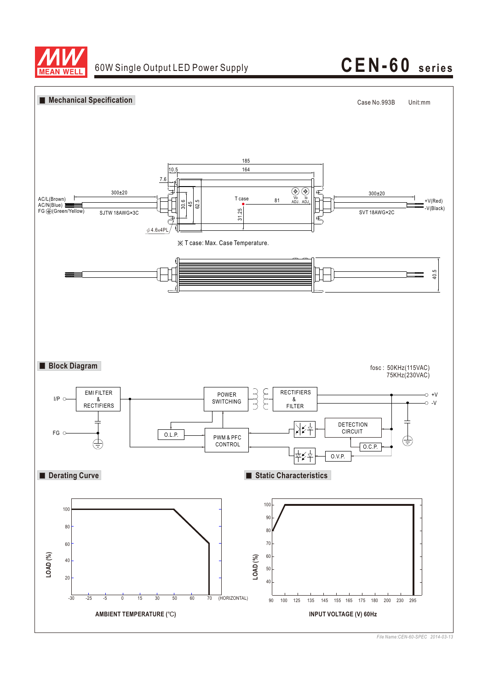

## 60W Single Output LED Power Supply **CEN-60 series**



*File Name:CEN-60-SPEC 2014-03-13*